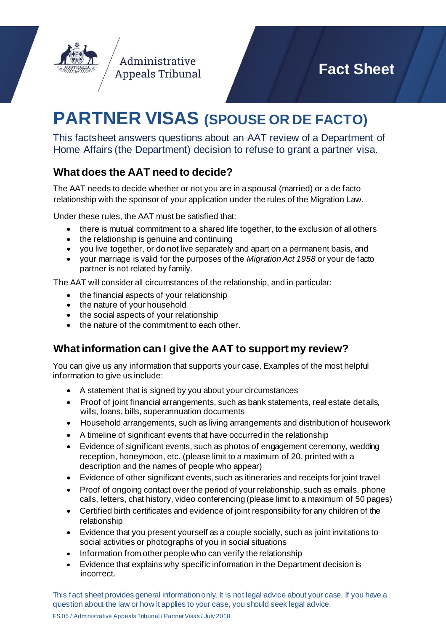

# **PARTNER VISAS (SPOUSE OR DE FACTO)**

This factsheet answers questions about an AAT review of a Department of Home Affairs (the Department) decision to refuse to grant a partner visa.

# **What does the AAT need to decide?**

Administrative **Appeals Tribunal** 

The AAT needs to decide whether or not you are in a spousal (married) or a de facto relationship with the sponsor of your application under the rules of the Migration Law.

Under these rules, the AAT must be satisfied that:

- there is mutual commitment to a shared life together, to the exclusion of all others
- the relationship is genuine and continuing
- you live together, or do not live separately and apart on a permanent basis, and
- your marriage is valid for the purposes of the *Migration Act 1958* or your de facto partner is not related by family.

The AAT will consider all circumstances of the relationship, and in particular:

- the financial aspects of your relationship
- the nature of your household
- the social aspects of your relationship
- the nature of the commitment to each other.

# **Whatinformation can I give the AAT to support my review?**

You can give us any information that supports your case. Examples of the most helpful information to give us include:

- A statement that is signed by you about your circumstances
- Proof of joint financial arrangements, such as bank statements, real estate details, wills, loans, bills, superannuation documents
- Household arrangements, such as living arrangements and distribution of housework
- A timeline of significant events that have occurredin the relationship
- Evidence of significant events, such as photos of engagement ceremony, wedding reception, honeymoon, etc. (please limit to a maximum of 20, printed with a description and the names of people who appear)
- Evidence of other significant events, such as itineraries and receipts for joint travel
- Proof of ongoing contact over the period of your relationship, such as emails, phone calls, letters, chat history, video conferencing (please limit to a maximum of 50 pages)
- Certified birth certificates and evidence of joint responsibility for any children of the relationship
- Evidence that you present yourself as a couple socially, such as joint invitations to social activities or photographs of you in social situations
- Information from other people who can verify the relationship
- Evidence that explains why specific information in the Department decision is incorrect.

This fact sheet provides general information only. It is not legal advice about your case. If you have a question about the law or how it applies to your case, you should seek legal advice.